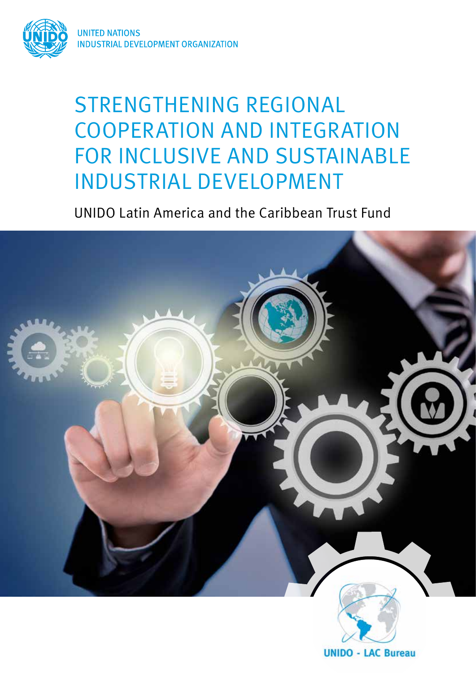

# STRENGTHENING REGIONAL COOPERATION AND INTEGRATION FOR INCLUSIVE AND SUSTAINABLE INDUSTRIAL DEVELOPMENT

UNIDO Latin America and the Caribbean Trust Fund

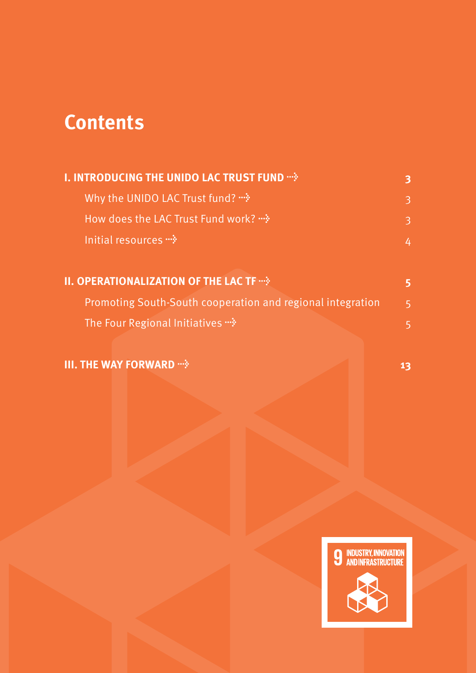## **Contents**

| <b>I. INTRODUCING THE UNIDO LAC TRUST FUND ""&gt;&gt;&gt;</b>     | 3           |
|-------------------------------------------------------------------|-------------|
| Why the UNIDO LAC Trust fund? *                                   | 3           |
| <b>How does the LAC Trust Fund work?</b>                          | 3           |
| Initial resources $\cdot\cdot\cdot$                               | 4           |
| <b>II. OPERATIONALIZATION OF THE LAC TF ?</b>                     | 5           |
| <b>Promoting South-South cooperation and regional integration</b> | $5^{\circ}$ |
| The Four Regional Initiatives *                                   | 5           |

#### **III. THE WAY FORWARD → <b>13 13**

**9 INDUSTRY, INNOVATION<br>ANDINFRASTRUCTURE**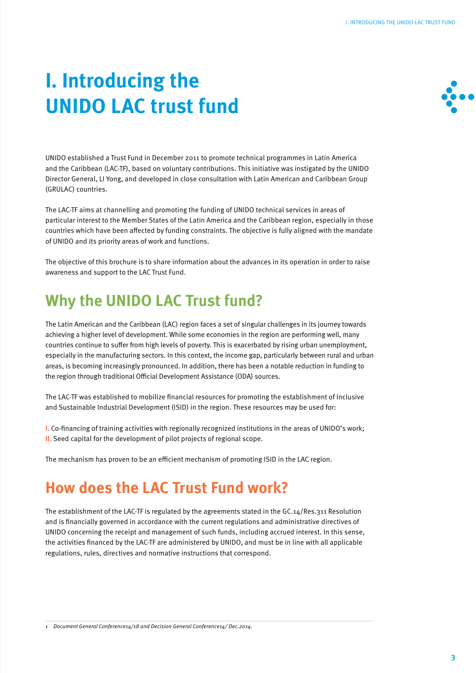# **I. Introducing the UNIDO LAC trust fund**



UNIDO established a Trust Fund in December 2011 to promote technical programmes in Latin America and the Caribbean (LAC-TF), based on voluntary contributions. This initiative was instigated by the UNIDO Director General, LI Yong, and developed in close consultation with Latin American and Caribbean Group (GRULAC) countries.

The LAC-TF aims at channelling and promoting the funding of UNIDO technical services in areas of particular interest to the Member States of the Latin America and the Caribbean region, especially in those countries which have been affected by funding constraints. The objective is fully aligned with the mandate of UNIDO and its priority areas of work and functions.

The objective of this brochure is to share information about the advances in its operation in order to raise awareness and support to the LAC Trust Fund.

### **Why the UNIDO LAC Trust fund?**

The Latin American and the Caribbean (LAC) region faces a set of singular challenges in its journey towards achieving a higher level of development. While some economies in the region are performing well, many countries continue to suffer from high levels of poverty. This is exacerbated by rising urban unemployment, especially in the manufacturing sectors. In this context, the income gap, particularly between rural and urban areas, is becoming increasingly pronounced. In addition, there has been a notable reduction in funding to the region through traditional Official Development Assistance (ODA) sources.

The LAC-TF was established to mobilize financial resources for promoting the establishment of Inclusive and Sustainable Industrial Development (ISID) in the region. These resources may be used for:

**I.** Co-financing of training activities with regionally recognized institutions in the areas of UNIDO's work; **II.** Seed capital for the development of pilot projects of regional scope.

The mechanism has proven to be an efficient mechanism of promoting ISID in the LAC region.

#### **How does the LAC Trust Fund work?**

The establishment of the LAC-TF is regulated by the agreements stated in the GC.14/Res.311 Resolution and is financially governed in accordance with the current regulations and administrative directives of UNIDO concerning the receipt and management of such funds, including accrued interest. In this sense, the activities financed by the LAC-TF are administered by UNIDO, and must be in line with all applicable regulations, rules, directives and normative instructions that correspond.

*1 Document General Conference14/18 and Decision General Conference14/ Dec.2014.*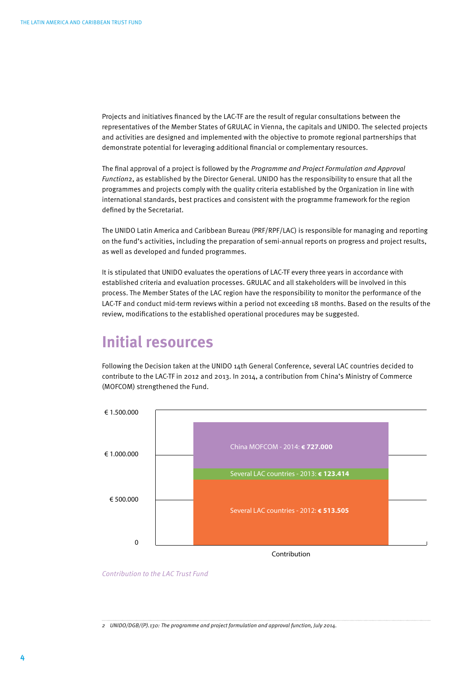Projects and initiatives financed by the LAC-TF are the result of regular consultations between the representatives of the Member States of GRULAC in Vienna, the capitals and UNIDO. The selected projects and activities are designed and implemented with the objective to promote regional partnerships that demonstrate potential for leveraging additional financial or complementary resources.

The final approval of a project is followed by the *Programme and Project Formulation and Approval Function*2, as established by the Director General. UNIDO has the responsibility to ensure that all the programmes and projects comply with the quality criteria established by the Organization in line with international standards, best practices and consistent with the programme framework for the region defined by the Secretariat.

The UNIDO Latin America and Caribbean Bureau (PRF/RPF/LAC) is responsible for managing and reporting on the fund's activities, including the preparation of semi-annual reports on progress and project results, as well as developed and funded programmes.

It is stipulated that UNIDO evaluates the operations of LAC-TF every three years in accordance with established criteria and evaluation processes. GRULAC and all stakeholders will be involved in this process. The Member States of the LAC region have the responsibility to monitor the performance of the LAC-TF and conduct mid-term reviews within a period not exceeding 18 months. Based on the results of the review, modifications to the established operational procedures may be suggested.

#### **Initial resources**

Following the Decision taken at the UNIDO 14th General Conference, several LAC countries decided to contribute to the LAC-TF in 2012 and 2013. In 2014, a contribution from China's Ministry of Commerce (MOFCOM) strengthened the Fund.



*Contribution to the LAC Trust Fund*

*2 UNIDO/DGB/(P).130: The programme and project formulation and approval function, July 2014.*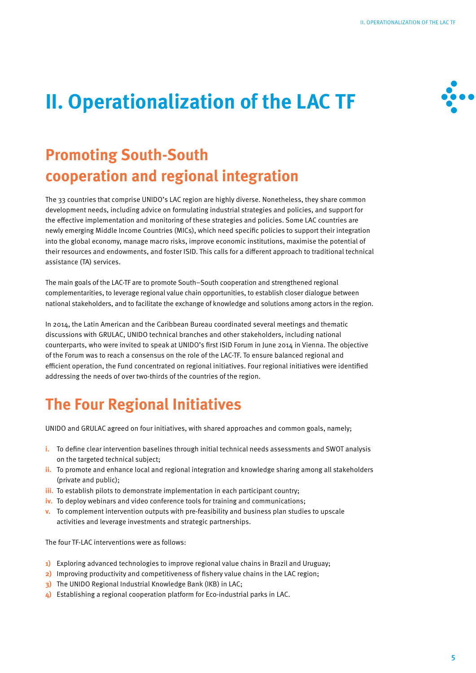# **→**

# **II. Operationalization of the LAC TF**

### **Promoting South-South cooperation and regional integration**

The 33 countries that comprise UNIDO's LAC region are highly diverse. Nonetheless, they share common development needs, including advice on formulating industrial strategies and policies, and support for the effective implementation and monitoring of these strategies and policies. Some LAC countries are newly emerging Middle Income Countries (MICs), which need specific policies to support their integration into the global economy, manage macro risks, improve economic institutions, maximise the potential of their resources and endowments, and foster ISID. This calls for a different approach to traditional technical assistance (TA) services.

The main goals of the LAC-TF are to promote South–South cooperation and strengthened regional complementarities, to leverage regional value chain opportunities, to establish closer dialogue between national stakeholders, and to facilitate the exchange of knowledge and solutions among actors in the region.

In 2014, the Latin American and the Caribbean Bureau coordinated several meetings and thematic discussions with GRULAC, UNIDO technical branches and other stakeholders, including national counterparts, who were invited to speak at UNIDO's first ISID Forum in June 2014 in Vienna. The objective of the Forum was to reach a consensus on the role of the LAC-TF. To ensure balanced regional and efficient operation, the Fund concentrated on regional initiatives. Four regional initiatives were identified addressing the needs of over two-thirds of the countries of the region.

## **The Four Regional Initiatives**

UNIDO and GRULAC agreed on four initiatives, with shared approaches and common goals, namely;

- **i.** To define clear intervention baselines through initial technical needs assessments and SWOT analysis on the targeted technical subject;
- **ii.** To promote and enhance local and regional integration and knowledge sharing among all stakeholders (private and public);
- **iii.** To establish pilots to demonstrate implementation in each participant country;
- **iv.** To deploy webinars and video conference tools for training and communications;
- **v.** To complement intervention outputs with pre-feasibility and business plan studies to upscale activities and leverage investments and strategic partnerships.

The four TF-LAC interventions were as follows:

- **1)** Exploring advanced technologies to improve regional value chains in Brazil and Uruguay;
- **2)** Improving productivity and competitiveness of fishery value chains in the LAC region;
- **3)** The UNIDO Regional Industrial Knowledge Bank (IKB) in LAC;
- **4)** Establishing a regional cooperation platform for Eco-industrial parks in LAC.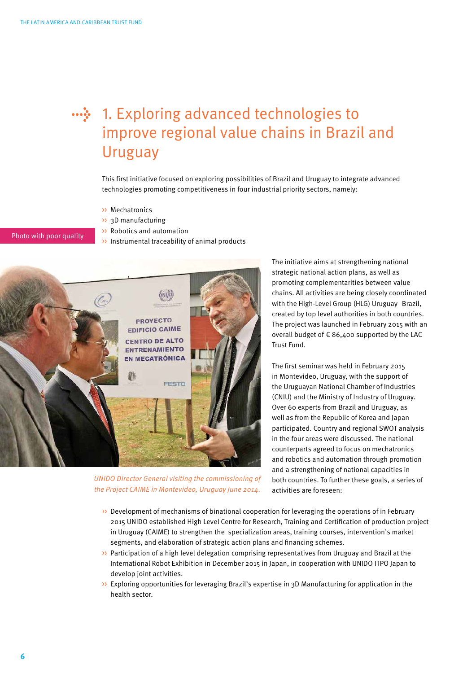

#### 1. Exploring advanced technologies to **→** improve regional value chains in Brazil and Uruguay

This first initiative focused on exploring possibilities of Brazil and Uruguay to integrate advanced technologies promoting competitiveness in four industrial priority sectors, namely:

- >> Mechatronics
- >> 3D manufacturing
- >> Robotics and automation
- Photo with poor quality
	- $\rightarrow$  Instrumental traceability of animal products



*UNIDO Director General visiting the commissioning of the Project CAIME in Montevideo, Uruguay June 2014.*

The initiative aims at strengthening national strategic national action plans, as well as promoting complementarities between value chains. All activities are being closely coordinated with the High-Level Group (HLG) Uruguay–Brazil, created by top level authorities in both countries. The project was launched in February 2015 with an overall budget of € 86,400 supported by the LAC Trust Fund.

The first seminar was held in February 2015 in Montevideo, Uruguay, with the support of the Uruguayan National Chamber of Industries (CNIU) and the Ministry of Industry of Uruguay. Over 60 experts from Brazil and Uruguay, as well as from the Republic of Korea and Japan participated. Country and regional SWOT analysis in the four areas were discussed. The national counterparts agreed to focus on mechatronics and robotics and automation through promotion and a strengthening of national capacities in both countries. To further these goals, a series of activities are foreseen:

- >> Development of mechanisms of binational cooperation for leveraging the operations of in February 2015 UNIDO established High Level Centre for Research, Training and Certification of production project in Uruguay (CAIME) to strengthen the specialization areas, training courses, intervention's market segments, and elaboration of strategic action plans and financing schemes.
- >> Participation of a high level delegation comprising representatives from Uruguay and Brazil at the International Robot Exhibition in December 2015 in Japan, in cooperation with UNIDO ITPO Japan to develop joint activities.
- >> Exploring opportunities for leveraging Brazil's expertise in 3D Manufacturing for application in the health sector.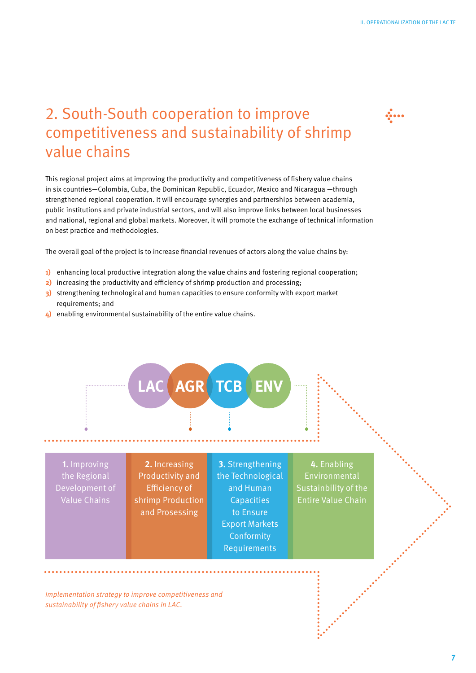## **→**

#### 2. South-South cooperation to improve competitiveness and sustainability of shrimp value chains

This regional project aims at improving the productivity and competitiveness of fishery value chains in six countries—Colombia, Cuba, the Dominican Republic, Ecuador, Mexico and Nicaragua —through strengthened regional cooperation. It will encourage synergies and partnerships between academia, public institutions and private industrial sectors, and will also improve links between local businesses and national, regional and global markets. Moreover, it will promote the exchange of technical information on best practice and methodologies.

The overall goal of the project is to increase financial revenues of actors along the value chains by:

- **1)** enhancing local productive integration along the value chains and fostering regional cooperation;
- **2)** increasing the productivity and efficiency of shrimp production and processing;
- **3)** strengthening technological and human capacities to ensure conformity with export market requirements; and
- **4)** enabling environmental sustainability of the entire value chains.



*Implementation strategy to improve competitiveness and sustainability of fishery value chains in LAC.*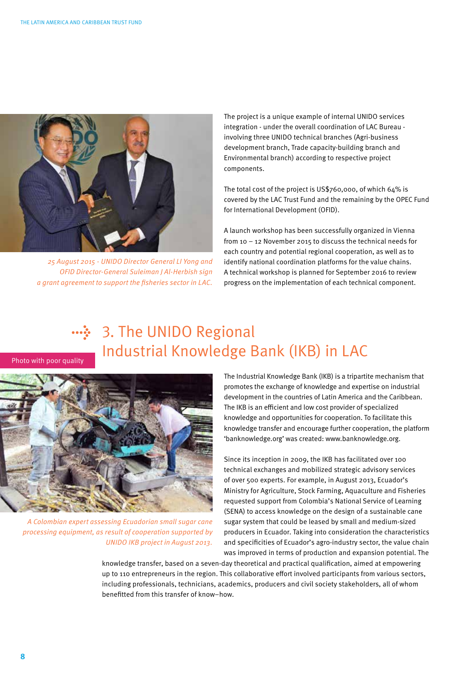

*25 August 2015 - UNIDO Director General LI Yong and OFID Director-General Suleiman J Al-Herbish sign a grant agreement to support the fisheries sector in LAC.*

The project is a unique example of internal UNIDO services integration - under the overall coordination of LAC Bureau involving three UNIDO technical branches (Agri-business development branch, Trade capacity-building branch and Environmental branch) according to respective project components.

The total cost of the project is US\$760,000, of which 64% is covered by the LAC Trust Fund and the remaining by the OPEC Fund for International Development (OFID).

A launch workshop has been successfully organized in Vienna from 10 – 12 November 2015 to discuss the technical needs for each country and potential regional cooperation, as well as to identify national coordination platforms for the value chains. A technical workshop is planned for September 2016 to review progress on the implementation of each technical component.

#### ···<sup>≽</sup> 3. The UNIDO Regional Industrial Knowledge Bank (IKB) in LAC

Photo with poor quality



*A Colombian expert assessing Ecuadorian small sugar cane processing equipment, as result of cooperation supported by UNIDO IKB project in August 2013.*

The Industrial Knowledge Bank (IKB) is a tripartite mechanism that promotes the exchange of knowledge and expertise on industrial development in the countries of Latin America and the Caribbean. The IKB is an efficient and low cost provider of specialized knowledge and opportunities for cooperation. To facilitate this knowledge transfer and encourage further cooperation, the platform 'banknowledge.org' was created: www.banknowledge.org.

Since its inception in 2009, the IKB has facilitated over 100 technical exchanges and mobilized strategic advisory services of over 500 experts. For example, in August 2013, Ecuador's Ministry for Agriculture, Stock Farming, Aquaculture and Fisheries requested support from Colombia's National Service of Learning (SENA) to access knowledge on the design of a sustainable cane sugar system that could be leased by small and medium-sized producers in Ecuador. Taking into consideration the characteristics and specificities of Ecuador's agro-industry sector, the value chain was improved in terms of production and expansion potential. The

knowledge transfer, based on a seven-day theoretical and practical qualification, aimed at empowering up to 110 entrepreneurs in the region. This collaborative effort involved participants from various sectors, including professionals, technicians, academics, producers and civil society stakeholders, all of whom benefitted from this transfer of know–how.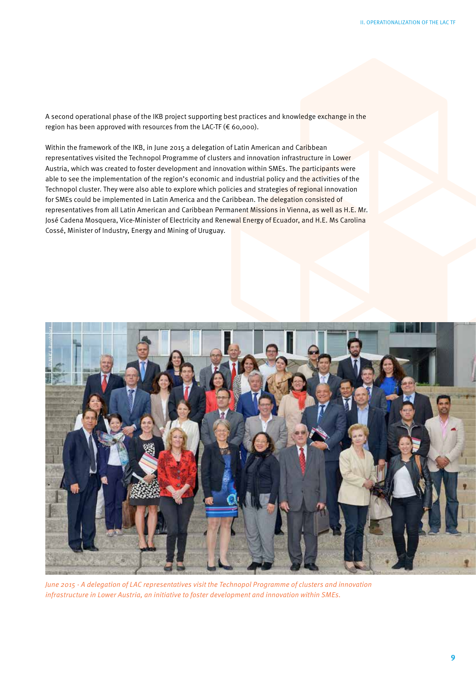A second operational phase of the IKB project supporting best practices and knowledge exchange in the region has been approved with resources from the LAC-TF (€ 60,000).

Within the framework of the IKB, in June 2015 a delegation of Latin American and Caribbean representatives visited the Technopol Programme of clusters and innovation infrastructure in Lower Austria, which was created to foster development and innovation within SMEs. The participants were able to see the implementation of the region's economic and industrial policy and the activities of the Technopol cluster. They were also able to explore which policies and strategies of regional innovation for SMEs could be implemented in Latin America and the Caribbean. The delegation consisted of representatives from all Latin American and Caribbean Permanent Missions in Vienna, as well as H.E. Mr. José Cadena Mosquera, Vice-Minister of Electricity and Renewal Energy of Ecuador, and H.E. Ms Carolina Cossé, Minister of Industry, Energy and Mining of Uruguay.



*June 2015 - A delegation of LAC representatives visit the Technopol Programme of clusters and innovation*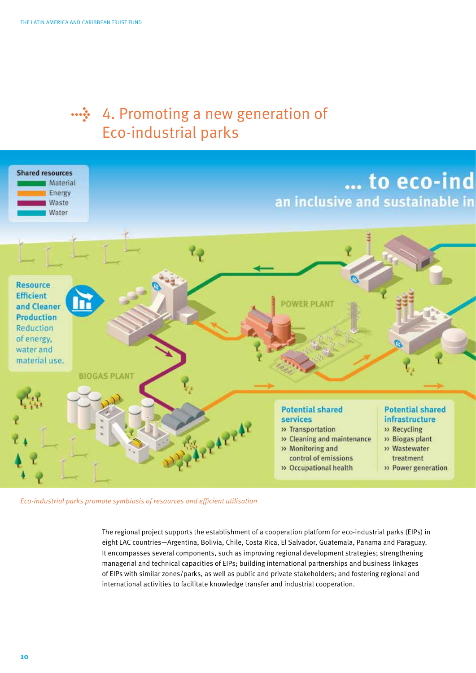#### •••̀❖ 4. Promoting a new generation of Eco-industrial parks



*Eco-industrial parks promote symbiosis of resources and efficient utilisation*

The regional project supports the establishment of a cooperation platform for eco-industrial parks (EIPs) in eight LAC countries—Argentina, Bolivia, Chile, Costa Rica, El Salvador, Guatemala, Panama and Paraguay. It encompasses several components, such as improving regional development strategies; strengthening managerial and technical capacities of EIPs; building international partnerships and business linkages of EIPs with similar zones/parks, as well as public and private stakeholders; and fostering regional and international activities to facilitate knowledge transfer and industrial cooperation.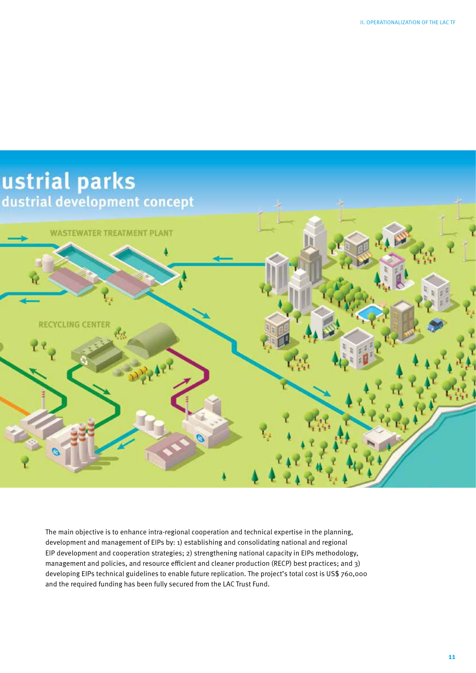

The main objective is to enhance intra-regional cooperation and technical expertise in the planning, development and management of EIPs by: 1) establishing and consolidating national and regional EIP development and cooperation strategies; 2) strengthening national capacity in EIPs methodology, management and policies, and resource efficient and cleaner production (RECP) best practices; and 3) developing EIPs technical guidelines to enable future replication. The project's total cost is US\$ 760,000 and the required funding has been fully secured from the LAC Trust Fund.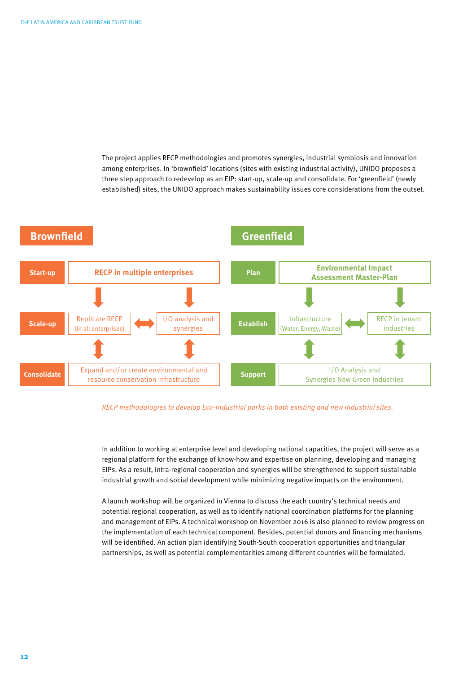The project applies RECP methodologies and promotes synergies, industrial symbiosis and innovation among enterprises. In 'brownfield' locations (sites with existing industrial activity), UNIDO proposes a three step approach to redevelop as an EIP: start-up, scale-up and consolidate. For 'greenfield' (newly established) sites, the UNIDO approach makes sustainability issues core considerations from the outset.



#### *RECP methodologies to develop Eco-industrial parks in both existing and new industrial sites.*

In addition to working at enterprise level and developing national capacities, the project will serve as a regional platform for the exchange of know-how and expertise on planning, developing and managing EIPs. As a result, intra-regional cooperation and synergies will be strengthened to support sustainable industrial growth and social development while minimizing negative impacts on the environment.

A launch workshop will be organized in Vienna to discuss the each country's technical needs and potential regional cooperation, as well as to identify national coordination platforms for the planning and management of EIPs. A technical workshop on November 2016 is also planned to review progress on the implementation of each technical component. Besides, potential donors and financing mechanisms will be identified. An action plan identifying South-South cooperation opportunities and triangular partnerships, as well as potential complementarities among different countries will be formulated.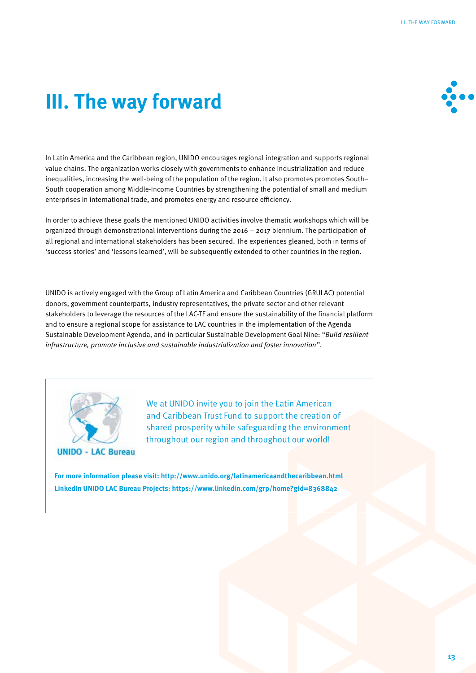# **III. The way forward**



In Latin America and the Caribbean region, UNIDO encourages regional integration and supports regional value chains. The organization works closely with governments to enhance industrialization and reduce inequalities, increasing the well-being of the population of the region. It also promotes promotes South– South cooperation among Middle-Income Countries by strengthening the potential of small and medium enterprises in international trade, and promotes energy and resource efficiency.

In order to achieve these goals the mentioned UNIDO activities involve thematic workshops which will be organized through demonstrational interventions during the 2016 – 2017 biennium. The participation of all regional and international stakeholders has been secured. The experiences gleaned, both in terms of 'success stories' and 'lessons learned', will be subsequently extended to other countries in the region.

UNIDO is actively engaged with the Group of Latin America and Caribbean Countries (GRULAC) potential donors, government counterparts, industry representatives, the private sector and other relevant stakeholders to leverage the resources of the LAC-TF and ensure the sustainability of the financial platform and to ensure a regional scope for assistance to LAC countries in the implementation of the Agenda Sustainable Development Agenda, and in particular Sustainable Development Goal Nine: "*Build resilient infrastructure, promote inclusive and sustainable industrialization and foster innovation".* 



We at UNIDO invite you to join the Latin American and Caribbean Trust Fund to support the creation of shared prosperity while safeguarding the environment throughout our region and throughout our world!

**For more information please visit: http://www.unido.org/latinamericaandthecaribbean.html LinkedIn UNIDO LAC Bureau Projects: https://www.linkedin.com/grp/home?gid=8368842**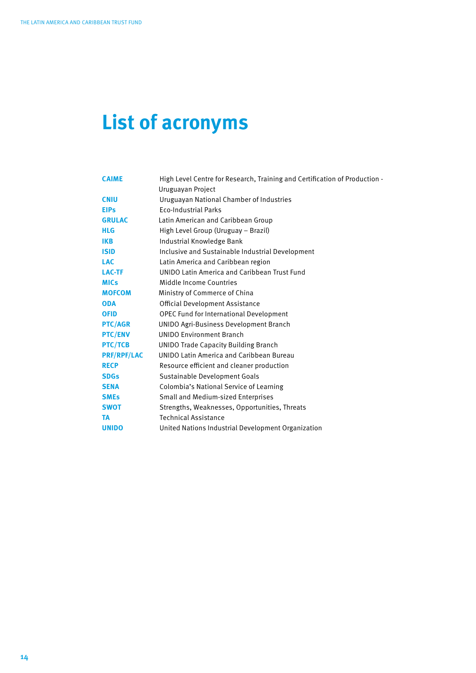# **List of acronyms**

| <b>CAIME</b>       | High Level Centre for Research, Training and Certification of Production - |
|--------------------|----------------------------------------------------------------------------|
|                    | Uruguayan Project                                                          |
| <b>CNIU</b>        | Uruguayan National Chamber of Industries                                   |
| <b>EIPs</b>        | <b>Eco-Industrial Parks</b>                                                |
| <b>GRULAC</b>      | Latin American and Caribbean Group                                         |
| <b>HLG</b>         | High Level Group (Uruguay - Brazil)                                        |
| <b>IKB</b>         | Industrial Knowledge Bank                                                  |
| <b>ISID</b>        | Inclusive and Sustainable Industrial Development                           |
| <b>LAC</b>         | Latin America and Caribbean region                                         |
| <b>LAC-TF</b>      | UNIDO Latin America and Caribbean Trust Fund                               |
| <b>MICs</b>        | Middle Income Countries                                                    |
| <b>MOFCOM</b>      | Ministry of Commerce of China                                              |
| <b>ODA</b>         | Official Development Assistance                                            |
| <b>OFID</b>        | OPEC Fund for International Development                                    |
| <b>PTC/AGR</b>     | <b>UNIDO Agri-Business Development Branch</b>                              |
| <b>PTC/ENV</b>     | <b>UNIDO Environment Branch</b>                                            |
| <b>PTC/TCB</b>     | <b>UNIDO Trade Capacity Building Branch</b>                                |
| <b>PRF/RPF/LAC</b> | <b>UNIDO Latin America and Caribbean Bureau</b>                            |
| <b>RECP</b>        | Resource efficient and cleaner production                                  |
| <b>SDGs</b>        | Sustainable Development Goals                                              |
| <b>SENA</b>        | Colombia's National Service of Learning                                    |
| <b>SMEs</b>        | Small and Medium-sized Enterprises                                         |
| <b>SWOT</b>        | Strengths, Weaknesses, Opportunities, Threats                              |
| <b>TA</b>          | <b>Technical Assistance</b>                                                |
| <b>UNIDO</b>       | United Nations Industrial Development Organization                         |
|                    |                                                                            |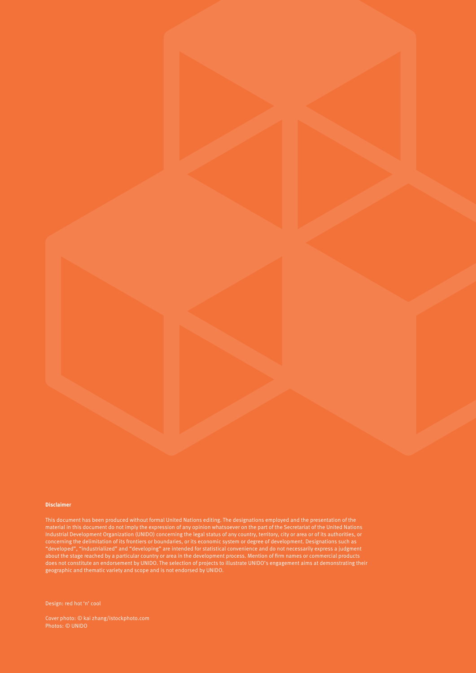#### **Disclaimer**

This document has been produced without formal United Nations editing. The designations employed and the presentation of the Industrial Development Organization (UNIDO) concerning the legal status of any country, territory, city or area or of its authorities, or concerning the delimitation of its frontiers or boundaries, or its economic system or degree of development. Designations such as "developed", "industrialized" and "developing" are intended for statistical convenience and do not necessarily express a judgment about the stage reached by a particular country or area in the development process. Mention of firm names or commercial products does not constitute an endorsement by UNIDO. The selection of projects to illustrate UNIDO's engagement aims at demonstrating their geographic and thematic variety and scope and is not endorsed by UNIDO.

Design: red hot 'n' cool

Cover photo: *©* kai zhang/istockphoto.com